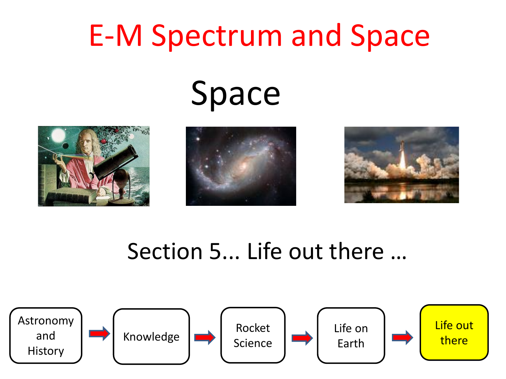## E-M Spectrum and Space

# Space







#### Section 5... Life out there …

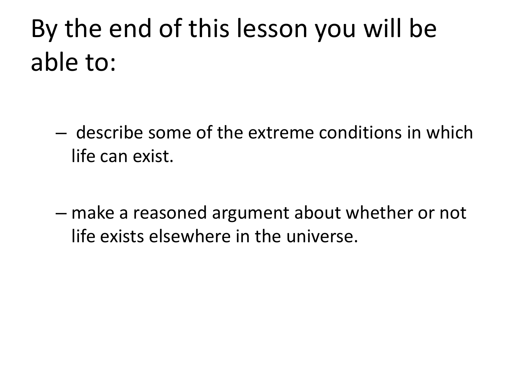#### By the end of this lesson you will be able to:

- describe some of the extreme conditions in which life can exist.
- make a reasoned argument about whether or not life exists elsewhere in the universe.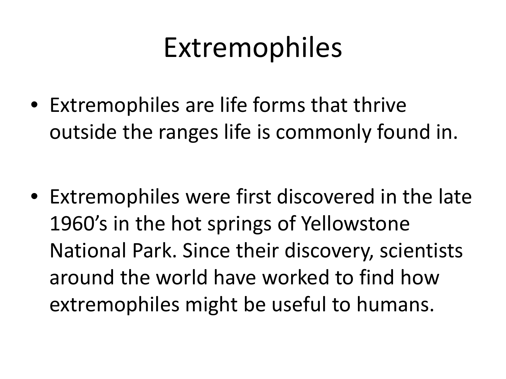#### Extremophiles

• Extremophiles are life forms that thrive outside the ranges life is commonly found in.

• Extremophiles were first discovered in the late 1960's in the hot springs of Yellowstone National Park. Since their discovery, scientists around the world have worked to find how extremophiles might be useful to humans.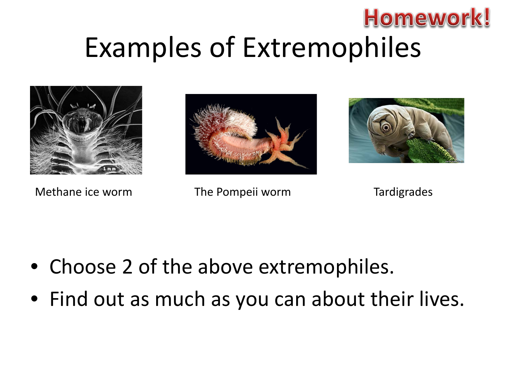#### **Homework!** Examples of Extremophiles





Methane ice worm The Pompeii worm Tardigrades



- Choose 2 of the above extremophiles.
- Find out as much as you can about their lives.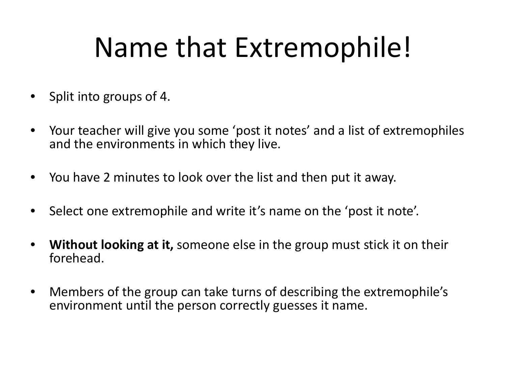### Name that Extremophile!

- Split into groups of 4.
- Your teacher will give you some 'post it notes' and a list of extremophiles and the environments in which they live.
- You have 2 minutes to look over the list and then put it away.
- Select one extremophile and write it's name on the 'post it note'.
- **Without looking at it,** someone else in the group must stick it on their forehead.
- Members of the group can take turns of describing the extremophile's environment until the person correctly guesses it name.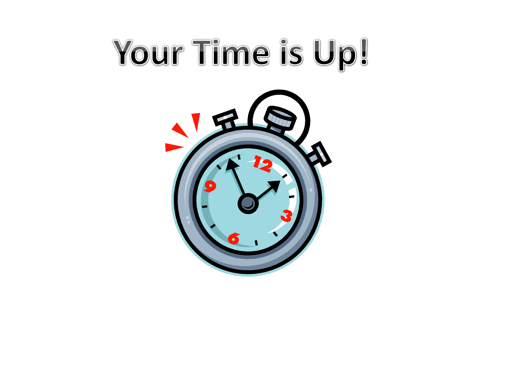# Your Time is Up!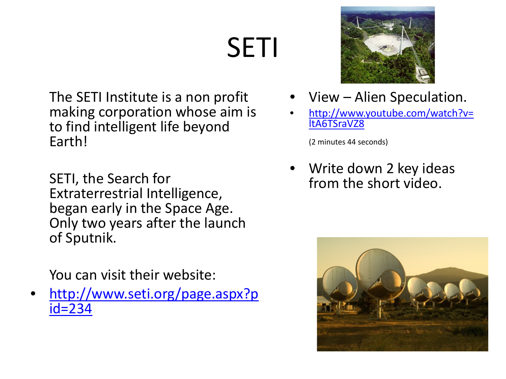# SETI

The SETI Institute is a non profit making corporation whose aim is to find intelligent life beyond Earth!

SETI, the Search for Extraterrestrial Intelligence, began early in the Space Age. Only two years after the launch of Sputnik.

You can visit their website:

• [http://www.seti.org/page.aspx?p](http://www.seti.org/page.aspx?pid=234) [id=234](http://www.seti.org/page.aspx?pid=234)



- View Alien Speculation.
- [http://www.youtube.com/watch?v=](http://www.youtube.com/watch?v=ltA6TSraVZ8) [ltA6TSraVZ8](http://www.youtube.com/watch?v=ltA6TSraVZ8)

(2 minutes 44 seconds)

• Write down 2 key ideas from the short video.

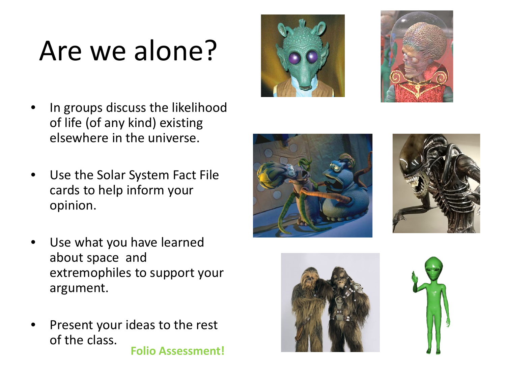# Are we alone?

- In groups discuss the likelihood of life (of any kind) existing elsewhere in the universe.
- Use the Solar System Fact File cards to help inform your opinion.
- Use what you have learned about space and extremophiles to support your argument.
- Present your ideas to the rest of the class. **Folio Assessment!**